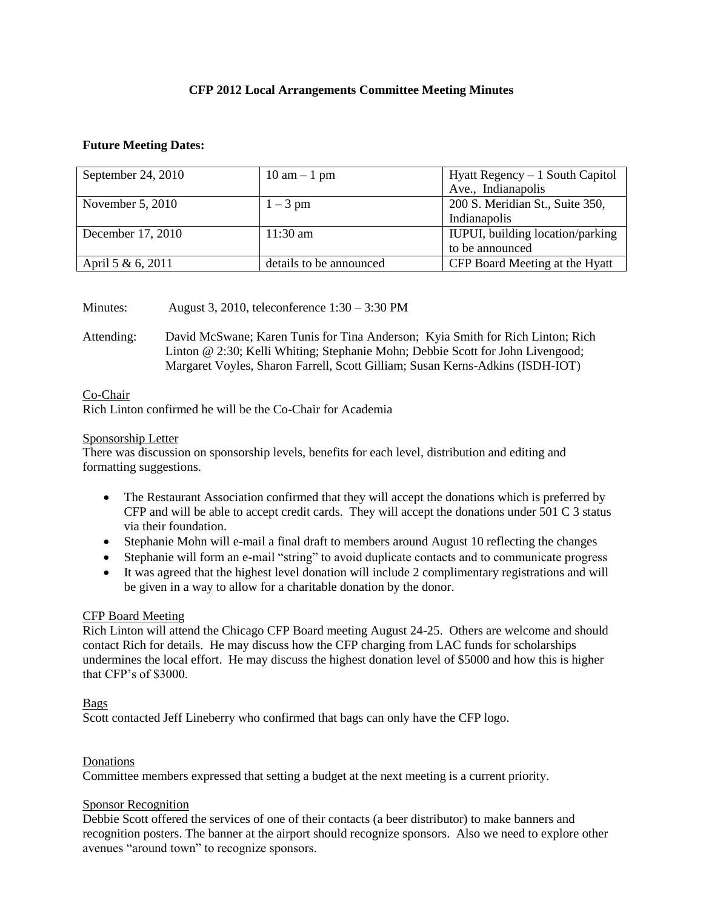## **CFP 2012 Local Arrangements Committee Meeting Minutes**

### **Future Meeting Dates:**

| September 24, 2010 | $10 \text{ am} - 1 \text{ pm}$ | Hyatt Regency $-1$ South Capitol |
|--------------------|--------------------------------|----------------------------------|
|                    |                                | Ave., Indianapolis               |
| November $5, 2010$ | $1-3$ pm                       | 200 S. Meridian St., Suite 350,  |
|                    |                                | Indianapolis                     |
| December 17, 2010  | $11:30 \text{ am}$             | IUPUI, building location/parking |
|                    |                                | to be announced                  |
| April 5 & 6, 2011  | details to be announced        | CFP Board Meeting at the Hyatt   |

Minutes: August 3, 2010, teleconference 1:30 – 3:30 PM

Attending: David McSwane; Karen Tunis for Tina Anderson; Kyia Smith for Rich Linton; Rich Linton @ 2:30; Kelli Whiting; Stephanie Mohn; Debbie Scott for John Livengood; Margaret Voyles, Sharon Farrell, Scott Gilliam; Susan Kerns-Adkins (ISDH-IOT)

### Co-Chair

Rich Linton confirmed he will be the Co-Chair for Academia

### Sponsorship Letter

There was discussion on sponsorship levels, benefits for each level, distribution and editing and formatting suggestions.

- The Restaurant Association confirmed that they will accept the donations which is preferred by CFP and will be able to accept credit cards. They will accept the donations under 501 C 3 status via their foundation.
- Stephanie Mohn will e-mail a final draft to members around August 10 reflecting the changes
- Stephanie will form an e-mail "string" to avoid duplicate contacts and to communicate progress
- It was agreed that the highest level donation will include 2 complimentary registrations and will be given in a way to allow for a charitable donation by the donor.

### CFP Board Meeting

Rich Linton will attend the Chicago CFP Board meeting August 24-25. Others are welcome and should contact Rich for details. He may discuss how the CFP charging from LAC funds for scholarships undermines the local effort. He may discuss the highest donation level of \$5000 and how this is higher that CFP's of \$3000.

### Bags

Scott contacted Jeff Lineberry who confirmed that bags can only have the CFP logo.

### Donations

Committee members expressed that setting a budget at the next meeting is a current priority.

### Sponsor Recognition

Debbie Scott offered the services of one of their contacts (a beer distributor) to make banners and recognition posters. The banner at the airport should recognize sponsors. Also we need to explore other avenues "around town" to recognize sponsors.